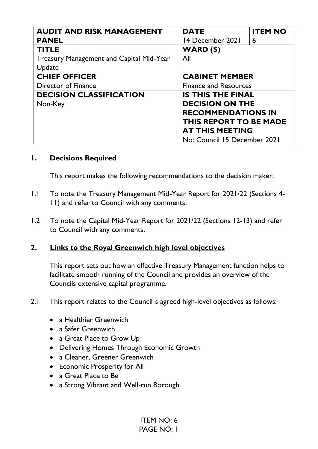| <b>AUDIT AND RISK MANAGEMENT</b>         | <b>DATE</b>                  | <b>ITEM NO</b> |
|------------------------------------------|------------------------------|----------------|
| <b>PANEL</b>                             | 14 December 2021             | 6              |
| <b>TITLE</b>                             | WARD (S)                     |                |
| Treasury Management and Capital Mid-Year | All                          |                |
| Update                                   |                              |                |
| <b>CHIEF OFFICER</b>                     | <b>CABINET MEMBER</b>        |                |
| Director of Finance                      | <b>Finance and Resources</b> |                |
| <b>DECISION CLASSIFICATION</b>           | <b>IS THIS THE FINAL</b>     |                |
| Non-Key                                  | <b>DECISION ON THE</b>       |                |
|                                          | <b>RECOMMENDATIONS IN</b>    |                |
|                                          | THIS REPORT TO BE MADE       |                |
|                                          | <b>AT THIS MEETING</b>       |                |
|                                          | No: Council 15 December 2021 |                |

### **1. Decisions Required**

This report makes the following recommendations to the decision maker:

- 1.1 To note the Treasury Management Mid-Year Report for 2021/22 (Sections 4- 11) and refer to Council with any comments.
- 1.2 To note the Capital Mid-Year Report for 2021/22 (Sections 12-13) and refer to Council with any comments.

#### **2. Links to the Royal Greenwich high level objectives**

This report sets out how an effective Treasury Management function helps to facilitate smooth running of the Council and provides an overview of the Councils extensive capital programme.

- 2.1 This report relates to the Council`s agreed high-level objectives as follows:
	- a Healthier Greenwich
	- a Safer Greenwich
	- a Great Place to Grow Up
	- Delivering Homes Through Economic Growth
	- a Cleaner, Greener Greenwich
	- Economic Prosperity for All
	- a Great Place to Be
	- a Strong Vibrant and Well-run Borough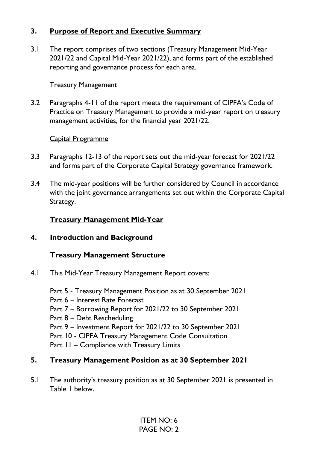### **3. Purpose of Report and Executive Summary**

3.1 The report comprises of two sections (Treasury Management Mid-Year 2021/22 and Capital Mid-Year 2021/22), and forms part of the established reporting and governance process for each area.

#### **Treasury Management**

3.2 Paragraphs 4-11 of the report meets the requirement of CIPFA's Code of Practice on Treasury Management to provide a mid-year report on treasury management activities, for the financial year 2021/22.

#### Capital Programme

- 3.3 Paragraphs 12-13 of the report sets out the mid-year forecast for 2021/22 and forms part of the Corporate Capital Strategy governance framework.
- 3.4 The mid-year positions will be further considered by Council in accordance with the joint governance arrangements set out within the Corporate Capital Strategy.

### **Treasury Management Mid-Year**

**4. Introduction and Background** 

### **Treasury Management Structure**

- 4.1 This Mid-Year Treasury Management Report covers:
	- Part 5 Treasury Management Position as at 30 September 2021
	- Part 6 Interest Rate Forecast
	- Part 7 Borrowing Report for 2021/22 to 30 September 2021
	- Part 8 Debt Rescheduling
	- Part 9 Investment Report for 2021/22 to 30 September 2021
	- Part 10 CIPFA Treasury Management Code Consultation
	- Part  $II$  Compliance with Treasury Limits

### **5. Treasury Management Position as at 30 September 2021**

5.1 The authority's treasury position as at 30 September 2021 is presented in Table 1 below.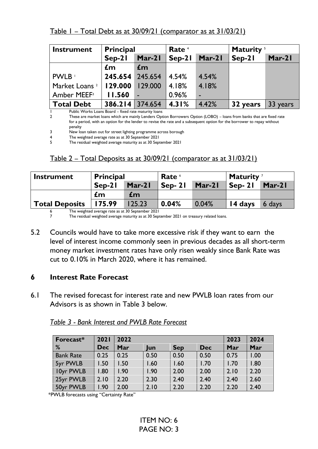Table 1 – Total Debt as at 30/09/21 (comparator as at 31/03/21)

| <b>Instrument</b>         | <b>Principal</b> |                         | Rate <sup>4</sup> |        | Maturity <sup>5</sup> |          |
|---------------------------|------------------|-------------------------|-------------------|--------|-----------------------|----------|
|                           | $Sep-21$         | Mar-21                  | $Sep-21$          | Mar-21 | Sep-21                | Mar-21   |
|                           | $\mathbf{f}$ m   | $\mathbf{f}$ m          |                   |        |                       |          |
| PWLB                      | 245.654 245.654  |                         | $\vert$ 4.54%     | 4.54%  |                       |          |
| Market Loans <sup>2</sup> | 129.000          | 129.000                 | 4.18%             | 4.18%  |                       |          |
| Amber MEEF <sup>3</sup>   | <b>II.560</b>    |                         | 0.96%             |        |                       |          |
| <b>Total Debt</b>         |                  | $386.214$ 374.654 4.31% |                   | 4.42%  | 32 years              | 33 years |

1 Public Works Loans Board – fixed rate maturity loans

2 These are market loans which are mainly Lenders Option Borrowers Option (LOBO) – loans from banks that are fixed rate for a period, with an option for the lender to revise the rate and a subsequent option for the borrower to repay without penalty

3 New loan taken out for street lighting programme across borough

4 The weighted average rate as at 30 September 2021

The residual weighted average maturity as at 30 September 2021

## Table 2 – Total Deposits as at 30/09/21 (comparator as at 31/03/21)

| <b>Instrument</b>     | <b>Principal</b> |          | Rate 6   |          | Maturity <sup>7</sup> |          |
|-----------------------|------------------|----------|----------|----------|-----------------------|----------|
|                       | $Sen-21$         | $Mar-21$ | $Sen-21$ | $Mar-21$ | $Sen-21$              | $Mar-21$ |
|                       | £m               | £m       |          |          |                       |          |
| <b>Total Deposits</b> | 175.99           | 125.23   | 0.04%    | 0.04%    | 14 days               | 6 days   |

<sup>6</sup> The weighted average rate as at 30 September 2021

The residual weighted average maturity as at 30 September 2021 on treasury related loans.

5.2 Councils would have to take more excessive risk if they want to earn the level of interest income commonly seen in previous decades as all short-term money market investment rates have only risen weakly since Bank Rate was cut to 0.10% in March 2020, where it has remained.

### **6 Interest Rate Forecast**

6.1 The revised forecast for interest rate and new PWLB loan rates from our Advisors is as shown in Table 3 below.

| Forecast*        | 2021       | 2022 |      |            |            |      | 2024 |
|------------------|------------|------|------|------------|------------|------|------|
| %                | <b>Dec</b> | Mar  | Jun  | <b>Sep</b> | <b>Dec</b> | Mar  | Mar  |
| <b>Bank Rate</b> | 0.25       | 0.25 | 0.50 | 0.50       | 0.50       | 0.75 | 1.00 |
| 5yr PWLB         | 1.50       | 1.50 | .60  | 1.60       | 1.70       | 1.70 | 1.80 |
| 10yr PWLB        | 1.80       | 1.90 | 1.90 | 2.00       | 2.00       | 2.10 | 2.20 |
| 25yr PWLB        | 2.10       | 2.20 | 2.30 | 2.40       | 2.40       | 2.40 | 2.60 |
| 50yr PWLB        | 1.90       | 2.00 | 2.10 | 2.20       | 2.20       | 2.20 | 2.40 |

*Table 3 - Bank Interest and PWLB Rate Forecast* 

\*PWLB forecasts using "Certainty Rate"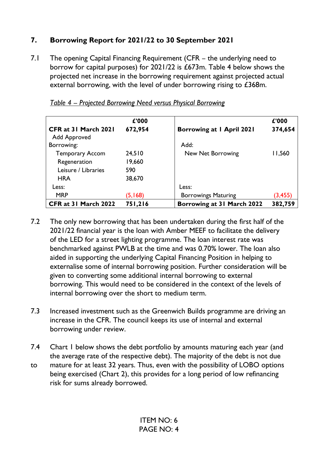# **7. Borrowing Report for 2021/22 to 30 September 2021**

7.1 The opening Capital Financing Requirement (CFR – the underlying need to borrow for capital purposes) for 2021/22 is £673m. Table 4 below shows the projected net increase in the borrowing requirement against projected actual external borrowing, with the level of under borrowing rising to £368m.

|                        | £'000   |                            | £'000    |
|------------------------|---------|----------------------------|----------|
| CFR at 31 March 2021   | 672,954 | Borrowing at 1 April 2021  | 374,654  |
| Add Approved           |         |                            |          |
| Borrowing:             |         | Add:                       |          |
| <b>Temporary Accom</b> | 24,510  | New Net Borrowing          | 11,560   |
| Regeneration           | 19,660  |                            |          |
| Leisure / Libraries    | 590     |                            |          |
| <b>HRA</b>             | 38,670  |                            |          |
| Less:                  |         | Less:                      |          |
| <b>MRP</b>             | (5,168) | <b>Borrowings Maturing</b> | (3, 455) |
| CFR at 31 March 2022   | 751,216 | Borrowing at 31 March 2022 | 382,759  |

| Table 4 - Projected Borrowing Need versus Physical Borrowing |  |  |
|--------------------------------------------------------------|--|--|
|                                                              |  |  |

- 7.2 The only new borrowing that has been undertaken during the first half of the 2021/22 financial year is the loan with Amber MEEF to facilitate the delivery of the LED for a street lighting programme. The loan interest rate was benchmarked against PWLB at the time and was 0.70% lower. The loan also aided in supporting the underlying Capital Financing Position in helping to externalise some of internal borrowing position. Further consideration will be given to converting some additional internal borrowing to external borrowing. This would need to be considered in the context of the levels of internal borrowing over the short to medium term.
- 7.3 Increased investment such as the Greenwich Builds programme are driving an increase in the CFR. The council keeps its use of internal and external borrowing under review.
- 7.4 Chart 1 below shows the debt portfolio by amounts maturing each year (and the average rate of the respective debt). The majority of the debt is not due
- to mature for at least 32 years. Thus, even with the possibility of LOBO options being exercised (Chart 2), this provides for a long period of low refinancing risk for sums already borrowed.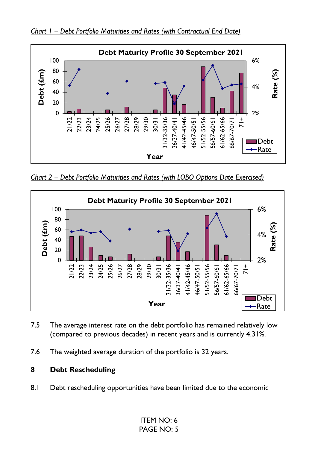



*Chart 2 – Debt Portfolio Maturities and Rates (with LOBO Options Date Exercised)* 



- 7.5 The average interest rate on the debt portfolio has remained relatively low (compared to previous decades) in recent years and is currently 4.31%.
- 7.6 The weighted average duration of the portfolio is 32 years.

## **8 Debt Rescheduling**

8.1 Debt rescheduling opportunities have been limited due to the economic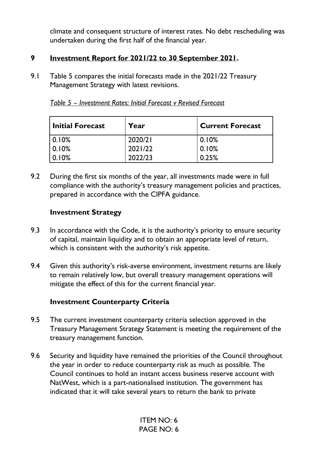climate and consequent structure of interest rates. No debt rescheduling was undertaken during the first half of the financial year.

### **9 Investment Report for 2021/22 to 30 September 2021.**

9.1 Table 5 compares the initial forecasts made in the 2021/22 Treasury Management Strategy with latest revisions.

| Initial Forecast | Year    | <b>Current Forecast</b> |
|------------------|---------|-------------------------|
| 0.10%            | 2020/21 | 0.10%                   |
| 0.10%            | 2021/22 | 0.10%                   |
| $ 0.10\%$        | 2022/23 | 0.25%                   |

*Table 5 – Investment Rates: Initial Forecast v Revised Forecast* 

9.2 During the first six months of the year, all investments made were in full compliance with the authority's treasury management policies and practices, prepared in accordance with the CIPFA guidance.

### **Investment Strategy**

- 9.3 In accordance with the Code, it is the authority's priority to ensure security of capital, maintain liquidity and to obtain an appropriate level of return, which is consistent with the authority's risk appetite.
- 9.4 Given this authority's risk-averse environment, investment returns are likely to remain relatively low, but overall treasury management operations will mitigate the effect of this for the current financial year.

### **Investment Counterparty Criteria**

- 9.5 The current investment counterparty criteria selection approved in the Treasury Management Strategy Statement is meeting the requirement of the treasury management function.
- 9.6 Security and liquidity have remained the priorities of the Council throughout the year in order to reduce counterparty risk as much as possible*.* The Council continues to hold an instant access business reserve account with NatWest, which is a part-nationalised institution. The government has indicated that it will take several years to return the bank to private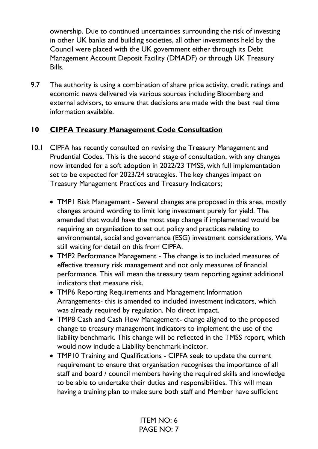ownership. Due to continued uncertainties surrounding the risk of investing in other UK banks and building societies, all other investments held by the Council were placed with the UK government either through its Debt Management Account Deposit Facility (DMADF) or through UK Treasury Bills.

9.7 The authority is using a combination of share price activity, credit ratings and economic news delivered via various sources including Bloomberg and external advisors, to ensure that decisions are made with the best real time information available.

## **10 CIPFA Treasury Management Code Consultation**

- 10.1 CIPFA has recently consulted on revising the Treasury Management and Prudential Codes. This is the second stage of consultation, with any changes now intended for a soft adoption in 2022/23 TMSS, with full implementation set to be expected for 2023/24 strategies. The key changes impact on Treasury Management Practices and Treasury Indicators;
	- TMP1 Risk Management Several changes are proposed in this area, mostly changes around wording to limit long investment purely for yield. The amended that would have the most step change if implemented would be requiring an organisation to set out policy and practices relating to environmental, social and governance (ESG) investment considerations. We still waiting for detail on this from CIPFA.
	- TMP2 Performance Management The change is to included measures of effective treasury risk management and not only measures of financial performance. This will mean the treasury team reporting against additional indicators that measure risk.
	- TMP6 Reporting Requirements and Management Information Arrangements- this is amended to included investment indicators, which was already required by regulation. No direct impact.
	- TMP8 Cash and Cash Flow Management- change aligned to the proposed change to treasury management indicators to implement the use of the liability benchmark. This change will be reflected in the TMSS report, which would now include a Liability benchmark indictor.
	- TMP10 Training and Qualifications CIPFA seek to update the current requirement to ensure that organisation recognises the importance of all staff and board / council members having the required skills and knowledge to be able to undertake their duties and responsibilities. This will mean having a training plan to make sure both staff and Member have sufficient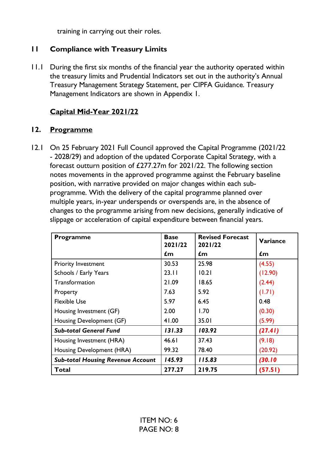training in carrying out their roles.

### **11 Compliance with Treasury Limits**

11.1 During the first six months of the financial year the authority operated within the treasury limits and Prudential Indicators set out in the authority's Annual Treasury Management Strategy Statement, per CIPFA Guidance. Treasury Management Indicators are shown in Appendix 1.

## **Capital Mid-Year 2021/22**

### **12. Programme**

12.1 On 25 February 2021 Full Council approved the Capital Programme (2021/22 - 2028/29) and adoption of the updated Corporate Capital Strategy, with a forecast outturn position of £277.27m for 2021/22. The following section notes movements in the approved programme against the February baseline position, with narrative provided on major changes within each subprogramme. With the delivery of the capital programme planned over multiple years, in-year underspends or overspends are, in the absence of changes to the programme arising from new decisions, generally indicative of slippage or acceleration of capital expenditure between financial years.

| Programme                                | <b>Base</b><br>2021/22 | <b>Revised Forecast</b><br>2021/22 | Variance |
|------------------------------------------|------------------------|------------------------------------|----------|
|                                          | £m                     | £m                                 | £m       |
| <b>Priority Investment</b>               | 30.53                  | 25.98                              | (4.55)   |
| Schools / Early Years                    | 23.11                  | 10.21                              | (12.90)  |
| Transformation                           | 21.09                  | 18.65                              | (2.44)   |
| Property                                 | 7.63                   | 5.92                               | (1.71)   |
| <b>Flexible Use</b>                      | 5.97                   | 6.45                               | 0.48     |
| Housing Investment (GF)                  | 2.00                   | 1.70                               | (0.30)   |
| Housing Development (GF)                 | 41.00                  | 35.01                              | (5.99)   |
| <b>Sub-total General Fund</b>            | 131.33                 | 103.92                             | (27.41)  |
| Housing Investment (HRA)                 | 46.61                  | 37.43                              | (9.18)   |
| Housing Development (HRA)                | 99.32                  | 78.40                              | (20.92)  |
| <b>Sub-total Housing Revenue Account</b> | 145.93                 | 115.83                             | (30.10)  |
| Total                                    | 277.27                 | 219.75                             | (57.51)  |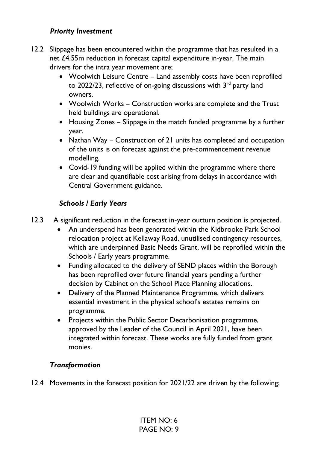### *Priority Investment*

- 12.2 Slippage has been encountered within the programme that has resulted in a net £4.55m reduction in forecast capital expenditure in-year. The main drivers for the intra year movement are;
	- Woolwich Leisure Centre Land assembly costs have been reprofiled to 2022/23, reflective of on-going discussions with  $3<sup>rd</sup>$  party land owners.
	- Woolwich Works Construction works are complete and the Trust held buildings are operational.
	- Housing Zones Slippage in the match funded programme by a further year.
	- Nathan Way Construction of 21 units has completed and occupation of the units is on forecast against the pre-commencement revenue modelling.
	- Covid-19 funding will be applied within the programme where there are clear and quantifiable cost arising from delays in accordance with Central Government guidance.

## *Schools / Early Years*

- 12.3 A significant reduction in the forecast in-year outturn position is projected.
	- An underspend has been generated within the Kidbrooke Park School relocation project at Kellaway Road, unutilised contingency resources, which are underpinned Basic Needs Grant, will be reprofiled within the Schools / Early years programme.
	- Funding allocated to the delivery of SEND places within the Borough has been reprofiled over future financial years pending a further decision by Cabinet on the School Place Planning allocations.
	- Delivery of the Planned Maintenance Programme, which delivers essential investment in the physical school's estates remains on programme.
	- Projects within the Public Sector Decarbonisation programme, approved by the Leader of the Council in April 2021, have been integrated within forecast. These works are fully funded from grant monies.

## *Transformation*

12.4 Movements in the forecast position for 2021/22 are driven by the following;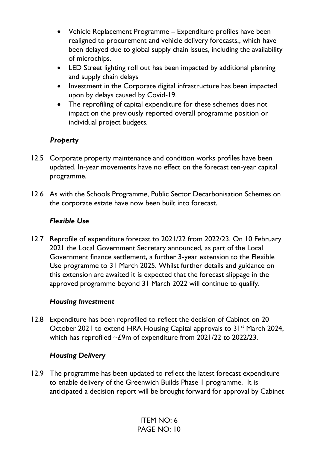- Vehicle Replacement Programme Expenditure profiles have been realigned to procurement and vehicle delivery forecasts., which have been delayed due to global supply chain issues, including the availability of microchips.
- LED Street lighting roll out has been impacted by additional planning and supply chain delays
- Investment in the Corporate digital infrastructure has been impacted upon by delays caused by Covid-19.
- The reprofiling of capital expenditure for these schemes does not impact on the previously reported overall programme position or individual project budgets.

## *Property*

- 12.5 Corporate property maintenance and condition works profiles have been updated. In-year movements have no effect on the forecast ten-year capital programme.
- 12.6 As with the Schools Programme, Public Sector Decarbonisation Schemes on the corporate estate have now been built into forecast.

### *Flexible Use*

12.7 Reprofile of expenditure forecast to 2021/22 from 2022/23. On 10 February 2021 the Local Government Secretary announced, as part of the Local Government finance settlement, a further 3-year extension to the Flexible Use programme to 31 March 2025. Whilst further details and guidance on this extension are awaited it is expected that the forecast slippage in the approved programme beyond 31 March 2022 will continue to qualify.

## *Housing Investment*

12.8 Expenditure has been reprofiled to reflect the decision of Cabinet on 20 October 2021 to extend HRA Housing Capital approvals to 31<sup>st</sup> March 2024, which has reprofiled  $\sim$  £9m of expenditure from 2021/22 to 2022/23.

### *Housing Delivery*

12.9 The programme has been updated to reflect the latest forecast expenditure to enable delivery of the Greenwich Builds Phase 1 programme. It is anticipated a decision report will be brought forward for approval by Cabinet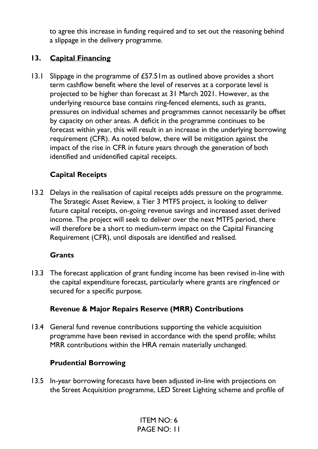to agree this increase in funding required and to set out the reasoning behind a slippage in the delivery programme.

## **13. Capital Financing**

13.1 Slippage in the programme of £57.51m as outlined above provides a short term cashflow benefit where the level of reserves at a corporate level is projected to be higher than forecast at 31 March 2021. However, as the underlying resource base contains ring-fenced elements, such as grants, pressures on individual schemes and programmes cannot necessarily be offset by capacity on other areas. A deficit in the programme continues to be forecast within year, this will result in an increase in the underlying borrowing requirement (CFR). As noted below, there will be mitigation against the impact of the rise in CFR in future years through the generation of both identified and unidentified capital receipts.

# **Capital Receipts**

13.2 Delays in the realisation of capital receipts adds pressure on the programme. The Strategic Asset Review, a Tier 3 MTFS project, is looking to deliver future capital receipts, on-going revenue savings and increased asset derived income. The project will seek to deliver over the next MTFS period, there will therefore be a short to medium-term impact on the Capital Financing Requirement (CFR), until disposals are identified and realised.

### **Grants**

13.3 The forecast application of grant funding income has been revised in-line with the capital expenditure forecast, particularly where grants are ringfenced or secured for a specific purpose.

### **Revenue & Major Repairs Reserve (MRR) Contributions**

13.4 General fund revenue contributions supporting the vehicle acquisition programme have been revised in accordance with the spend profile; whilst MRR contributions within the HRA remain materially unchanged.

### **Prudential Borrowing**

13.5 In-year borrowing forecasts have been adjusted in-line with projections on the Street Acquisition programme, LED Street Lighting scheme and profile of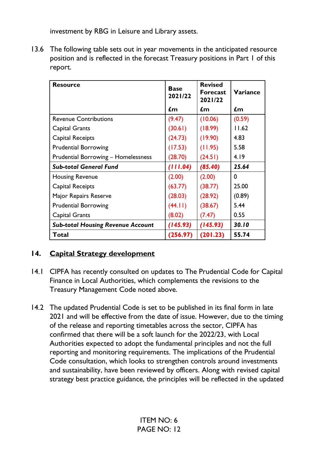investment by RBG in Leisure and Library assets.

13.6 The following table sets out in year movements in the anticipated resource position and is reflected in the forecast Treasury positions in Part 1 of this report.

| <b>Resource</b>                            | <b>Base</b><br>2021/22 | <b>Revised</b><br><b>Forecast</b><br>2021/22 | <b>Variance</b> |
|--------------------------------------------|------------------------|----------------------------------------------|-----------------|
|                                            | $\mathbf{f}$ m         | £m                                           | $\mathbf{f}$ m  |
| <b>Revenue Contributions</b>               | (9.47)                 | (10.06)                                      | (0.59)          |
| Capital Grants                             | (30.61)                | (18.99)                                      | 11.62           |
| Capital Receipts                           | (24.73)                | (19.90)                                      | 4.83            |
| <b>Prudential Borrowing</b>                | (17.53)                | (11.95)                                      | 5.58            |
| <b>Prudential Borrowing - Homelessness</b> | (28.70)                | (24.51)                                      | 4.19            |
| <b>Sub-total General Fund</b>              | (111.04)               | (85.40)                                      | 25.64           |
| <b>Housing Revenue</b>                     | (2.00)                 | (2.00)                                       | 0               |
| Capital Receipts                           | (63.77)                | (38.77)                                      | 25.00           |
| Major Repairs Reserve                      | (28.03)                | (28.92)                                      | (0.89)          |
| <b>Prudential Borrowing</b>                | (44.11)                | (38.67)                                      | 5.44            |
| Capital Grants                             | (8.02)                 | (7.47)                                       | 0.55            |
| <b>Sub-total Housing Revenue Account</b>   | (145.93)               | (145.93)                                     | 30.10           |
| Total                                      | (256.97)               | (201.23)                                     | 55.74           |

### **14. Capital Strategy development**

- 14.1 CIPFA has recently consulted on updates to The Prudential Code for Capital Finance in Local Authorities, which complements the revisions to the Treasury Management Code noted above.
- 14.2 The updated Prudential Code is set to be published in its final form in late 2021 and will be effective from the date of issue. However, due to the timing of the release and reporting timetables across the sector, CIPFA has confirmed that there will be a soft launch for the 2022/23, with Local Authorities expected to adopt the fundamental principles and not the full reporting and monitoring requirements. The implications of the Prudential Code consultation, which looks to strengthen controls around investments and sustainability, have been reviewed by officers. Along with revised capital strategy best practice guidance, the principles will be reflected in the updated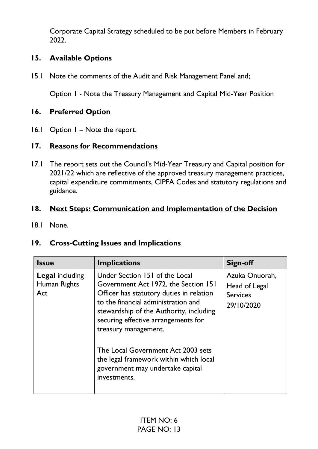Corporate Capital Strategy scheduled to be put before Members in February 2022.

### **15. Available Options**

15.1 Note the comments of the Audit and Risk Management Panel and;

Option 1 - Note the Treasury Management and Capital Mid-Year Position

### **16. Preferred Option**

16.1 Option I - Note the report.

# **17. Reasons for Recommendations**

17.1 The report sets out the Council's Mid-Year Treasury and Capital position for 2021/22 which are reflective of the approved treasury management practices, capital expenditure commitments, CIPFA Codes and statutory regulations and guidance.

### **18. Next Steps: Communication and Implementation of the Decision**

18.1 None.

## **19. Cross-Cutting Issues and Implications**

| <b>Issue</b>                                  | <b>Implications</b>                                                                                                                                                                                                                                                                                                                                                                                     | <b>Sign-off</b>                                                  |
|-----------------------------------------------|---------------------------------------------------------------------------------------------------------------------------------------------------------------------------------------------------------------------------------------------------------------------------------------------------------------------------------------------------------------------------------------------------------|------------------------------------------------------------------|
| <b>Legal including</b><br>Human Rights<br>Act | Under Section 151 of the Local<br>Government Act 1972, the Section 151<br>Officer has statutory duties in relation<br>to the financial administration and<br>stewardship of the Authority, including<br>securing effective arrangements for<br>treasury management.<br>The Local Government Act 2003 sets<br>the legal framework within which local<br>government may undertake capital<br>investments. | Azuka Onuorah,<br>Head of Legal<br><b>Services</b><br>29/10/2020 |
|                                               |                                                                                                                                                                                                                                                                                                                                                                                                         |                                                                  |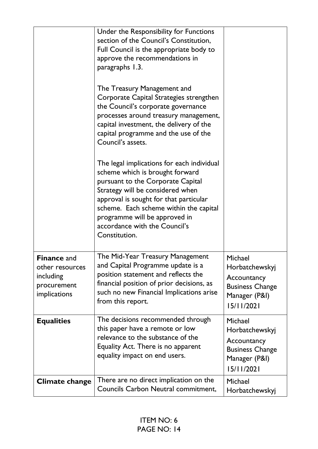|                                                                                   | Under the Responsibility for Functions<br>section of the Council's Constitution,<br>Full Council is the appropriate body to<br>approve the recommendations in<br>paragraphs 1.3.<br>The Treasury Management and<br>Corporate Capital Strategies strengthen<br>the Council's corporate governance<br>processes around treasury management,<br>capital investment, the delivery of the<br>capital programme and the use of the<br>Council's assets.<br>The legal implications for each individual<br>scheme which is brought forward<br>pursuant to the Corporate Capital<br>Strategy will be considered when<br>approval is sought for that particular<br>scheme. Each scheme within the capital<br>programme will be approved in<br>accordance with the Council's<br>Constitution. |                                                                                                   |
|-----------------------------------------------------------------------------------|------------------------------------------------------------------------------------------------------------------------------------------------------------------------------------------------------------------------------------------------------------------------------------------------------------------------------------------------------------------------------------------------------------------------------------------------------------------------------------------------------------------------------------------------------------------------------------------------------------------------------------------------------------------------------------------------------------------------------------------------------------------------------------|---------------------------------------------------------------------------------------------------|
| <b>Finance</b> and<br>other resources<br>including<br>procurement<br>implications | The Mid-Year Treasury Management<br>and Capital Programme update is a<br>position statement and reflects the<br>financial position of prior decisions, as<br>such no new Financial Implications arise<br>from this report.                                                                                                                                                                                                                                                                                                                                                                                                                                                                                                                                                         | Michael<br>Horbatchewskyj<br>Accountancy<br><b>Business Change</b><br>Manager (P&I)<br>15/11/2021 |
| <b>Equalities</b>                                                                 | The decisions recommended through<br>this paper have a remote or low<br>relevance to the substance of the<br>Equality Act. There is no apparent<br>equality impact on end users.                                                                                                                                                                                                                                                                                                                                                                                                                                                                                                                                                                                                   | Michael<br>Horbatchewskyj<br>Accountancy<br><b>Business Change</b><br>Manager (P&I)<br>15/11/2021 |
| <b>Climate change</b>                                                             | There are no direct implication on the<br>Councils Carbon Neutral commitment,                                                                                                                                                                                                                                                                                                                                                                                                                                                                                                                                                                                                                                                                                                      | Michael<br>Horbatchewskyj                                                                         |